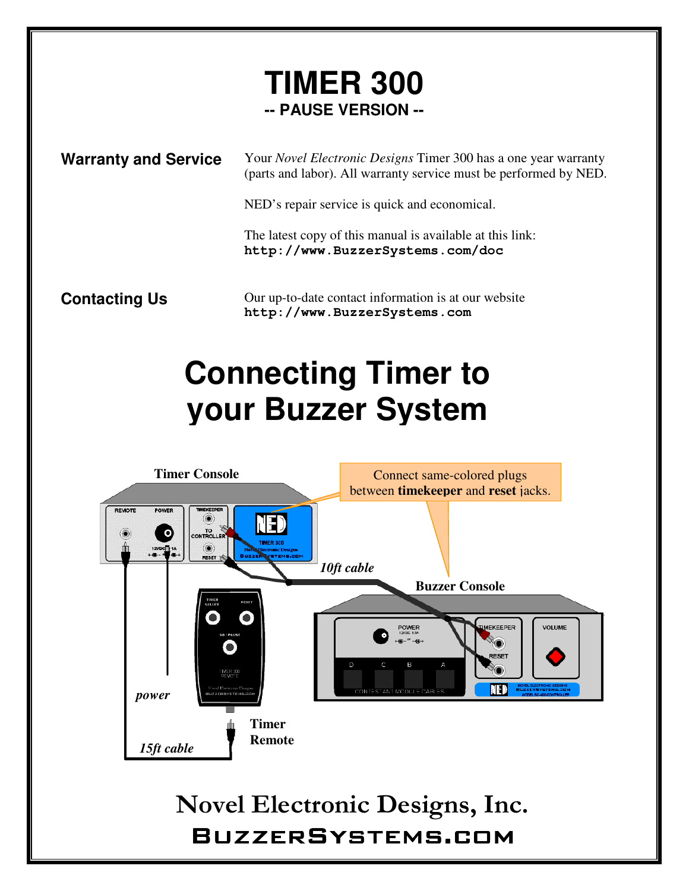## **TIMER 300 -- PAUSE VERSION --**

**Warranty and Service** Your *Novel Electronic Designs* Timer 300 has a one year warranty (parts and labor). All warranty service must be performed by NED.

NED's repair service is quick and economical.

The latest copy of this manual is available at this link: **http://www.BuzzerSystems.com/doc**

**Contacting Us** Our up-to-date contact information is at our website **http://www.BuzzerSystems.com** 

## **your Buzzer SystemConnecting Timer to**

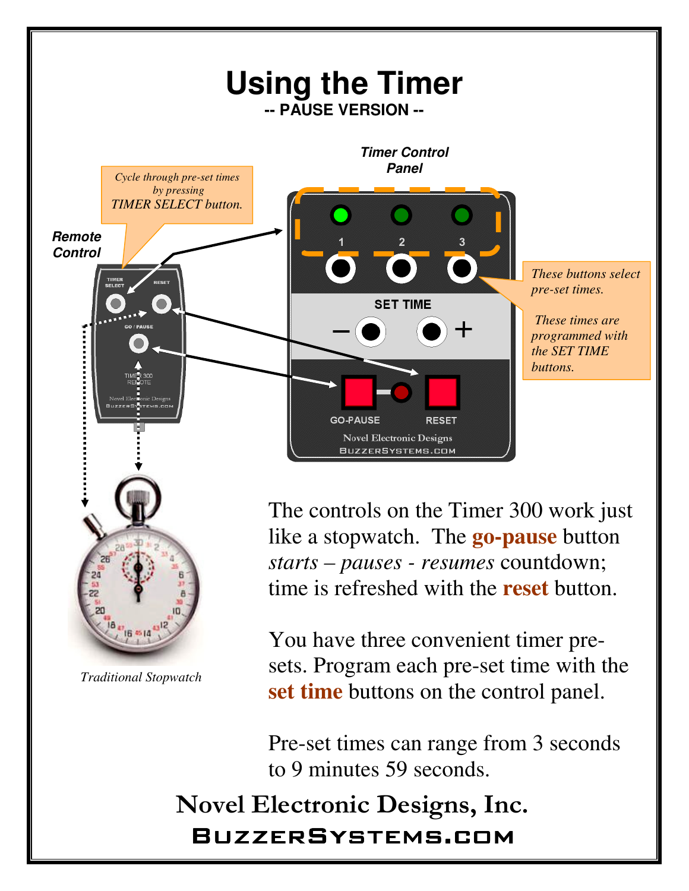

You have three convenient timer presets. Program each pre-set time with the **set time** buttons on the control panel.

Pre-set times can range from 3 seconds to 9 minutes 59 seconds.

Novel Electronic Designs, Inc. BuzzerSystems.com BuzzerSystems.com

*Traditional Stopwatch*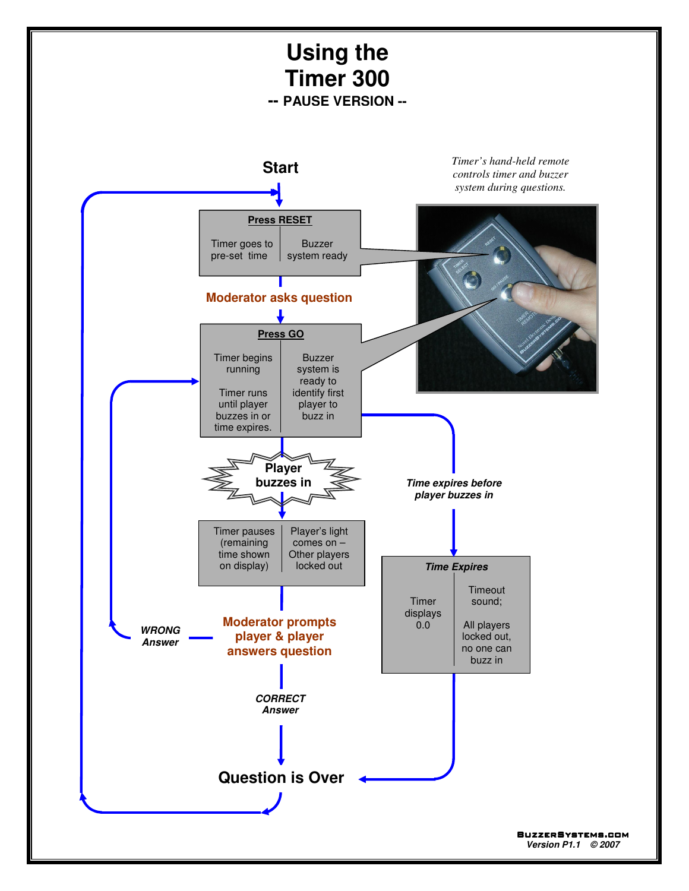